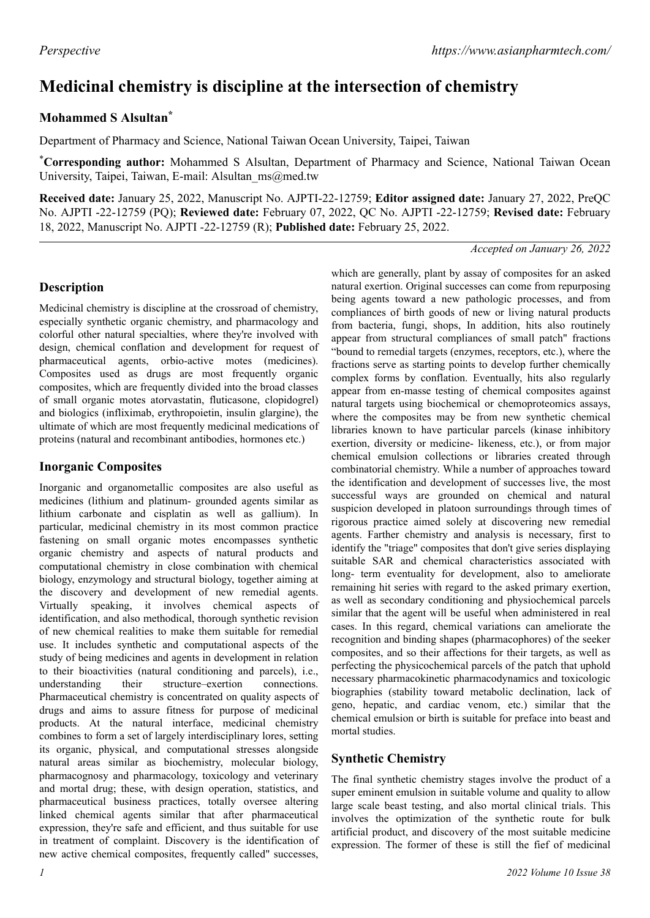# **Medicinal chemistry is discipline at the intersection of chemistry**

# **Mohammed S Alsultan\***

Department of Pharmacy and Science, National Taiwan Ocean University, Taipei, Taiwan

\***Corresponding author:** Mohammed S Alsultan, Department of Pharmacy and Science, National Taiwan Ocean University, Taipei, Taiwan, E-mail: Alsultan\_ms@med.tw

**Received date:** January 25, 2022, Manuscript No. AJPTI-22-12759; **Editor assigned date:** January 27, 2022, PreQC No. AJPTI -22-12759 (PQ); **Reviewed date:** February 07, 2022, QC No. AJPTI -22-12759; **Revised date:** February 18, 2022, Manuscript No. AJPTI -22-12759 (R); **Published date:** February 25, 2022.

#### *Accepted on January 26, 2022*

## **Description**

Medicinal chemistry is discipline at the crossroad of chemistry, especially synthetic organic chemistry, and pharmacology and colorful other natural specialties, where they're involved with design, chemical conflation and development for request of pharmaceutical agents, orbio-active motes (medicines). Composites used as drugs are most frequently organic composites, which are frequently divided into the broad classes of small organic motes atorvastatin, fluticasone, clopidogrel) and biologics (infliximab, erythropoietin, insulin glargine), the ultimate of which are most frequently medicinal medications of proteins (natural and recombinant antibodies, hormones etc.)

# **Inorganic Composites**

Inorganic and organometallic composites are also useful as medicines (lithium and platinum- grounded agents similar as lithium carbonate and cisplatin as well as gallium). In particular, medicinal chemistry in its most common practice fastening on small organic motes encompasses synthetic organic chemistry and aspects of natural products and computational chemistry in close combination with chemical biology, enzymology and structural biology, together aiming at the discovery and development of new remedial agents. Virtually speaking, it involves chemical aspects of identification, and also methodical, thorough synthetic revision of new chemical realities to make them suitable for remedial use. It includes synthetic and computational aspects of the study of being medicines and agents in development in relation to their bioactivities (natural conditioning and parcels), i.e., understanding their structure–exertion connections. Pharmaceutical chemistry is concentrated on quality aspects of drugs and aims to assure fitness for purpose of medicinal products. At the natural interface, medicinal chemistry combines to form a set of largely interdisciplinary lores, setting its organic, physical, and computational stresses alongside natural areas similar as biochemistry, molecular biology, pharmacognosy and pharmacology, toxicology and veterinary and mortal drug; these, with design operation, statistics, and pharmaceutical business practices, totally oversee altering linked chemical agents similar that after pharmaceutical expression, they're safe and efficient, and thus suitable for use in treatment of complaint. Discovery is the identification of new active chemical composites, frequently called" successes,

which are generally, plant by assay of composites for an asked natural exertion. Original successes can come from repurposing being agents toward a new pathologic processes, and from compliances of birth goods of new or living natural products from bacteria, fungi, shops, In addition, hits also routinely appear from structural compliances of small patch" fractions "bound to remedial targets (enzymes, receptors, etc.), where the fractions serve as starting points to develop further chemically complex forms by conflation. Eventually, hits also regularly appear from en-masse testing of chemical composites against natural targets using biochemical or chemoproteomics assays, where the composites may be from new synthetic chemical libraries known to have particular parcels (kinase inhibitory exertion, diversity or medicine- likeness, etc.), or from major chemical emulsion collections or libraries created through combinatorial chemistry. While a number of approaches toward the identification and development of successes live, the most successful ways are grounded on chemical and natural suspicion developed in platoon surroundings through times of rigorous practice aimed solely at discovering new remedial agents. Farther chemistry and analysis is necessary, first to identify the "triage" composites that don't give series displaying suitable SAR and chemical characteristics associated with long- term eventuality for development, also to ameliorate remaining hit series with regard to the asked primary exertion, as well as secondary conditioning and physiochemical parcels similar that the agent will be useful when administered in real cases. In this regard, chemical variations can ameliorate the recognition and binding shapes (pharmacophores) of the seeker composites, and so their affections for their targets, as well as perfecting the physicochemical parcels of the patch that uphold necessary pharmacokinetic pharmacodynamics and toxicologic biographies (stability toward metabolic declination, lack of geno, hepatic, and cardiac venom, etc.) similar that the chemical emulsion or birth is suitable for preface into beast and mortal studies.

# **Synthetic Chemistry**

The final synthetic chemistry stages involve the product of a super eminent emulsion in suitable volume and quality to allow large scale beast testing, and also mortal clinical trials. This involves the optimization of the synthetic route for bulk artificial product, and discovery of the most suitable medicine expression. The former of these is still the fief of medicinal